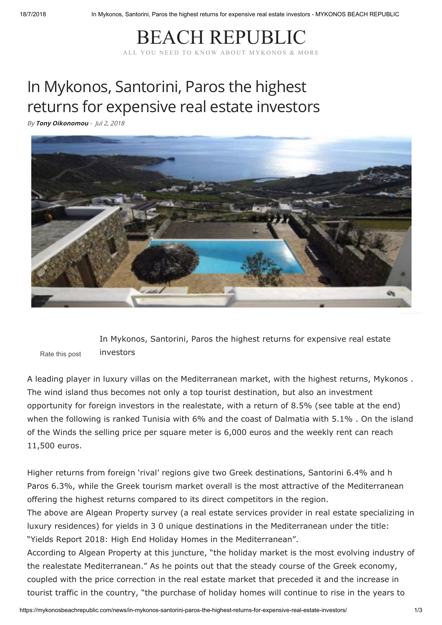## [BEACH REPUBLIC](https://mykonosbeachrepublic.com/) ALL YOU NEED TO KNOW ABOUT MYKONOS & MORE

## In Mykonos, Santorini, Paros the highest returns for expensive real estate investors

By **[Tony Oikonomou](https://mykonosbeachrepublic.com/author/admin/)** - Jul 2, 2018



Rate this post In Mykonos, Santorini, Paros the highest returns for expensive real estate investors

A leading player in luxury villas on the Mediterranean market, with the highest returns, Mykonos . The wind island thus becomes not only a top tourist destination, but also an investment opportunity for foreign investors in the realestate, with a return of 8.5% (see table at the end) when the following is ranked Tunisia with 6% and the coast of Dalmatia with 5.1% . On the island of the Winds the selling price per square meter is 6,000 euros and the weekly rent can reach 11,500 euros.

Higher returns from foreign 'rival' regions give two Greek destinations, Santorini 6.4% and h Paros 6.3%, while the Greek tourism market overall is the most attractive of the Mediterranean offering the highest returns compared to its direct competitors in the region.

The above are Algean Property survey (a real estate services provider in real estate specializing in luxury residences) for yields in 3 0 unique destinations in the Mediterranean under the title: "Yields Report 2018: High End Holiday Homes in the Mediterranean".

According to Algean Property at this juncture, "the holiday market is the most evolving industry of the realestate Mediterranean." As he points out that the steady course of the Greek economy, coupled with the price correction in the real estate market that preceded it and the increase in tourist traffic in the country, "the purchase of holiday homes will continue to rise in the years to